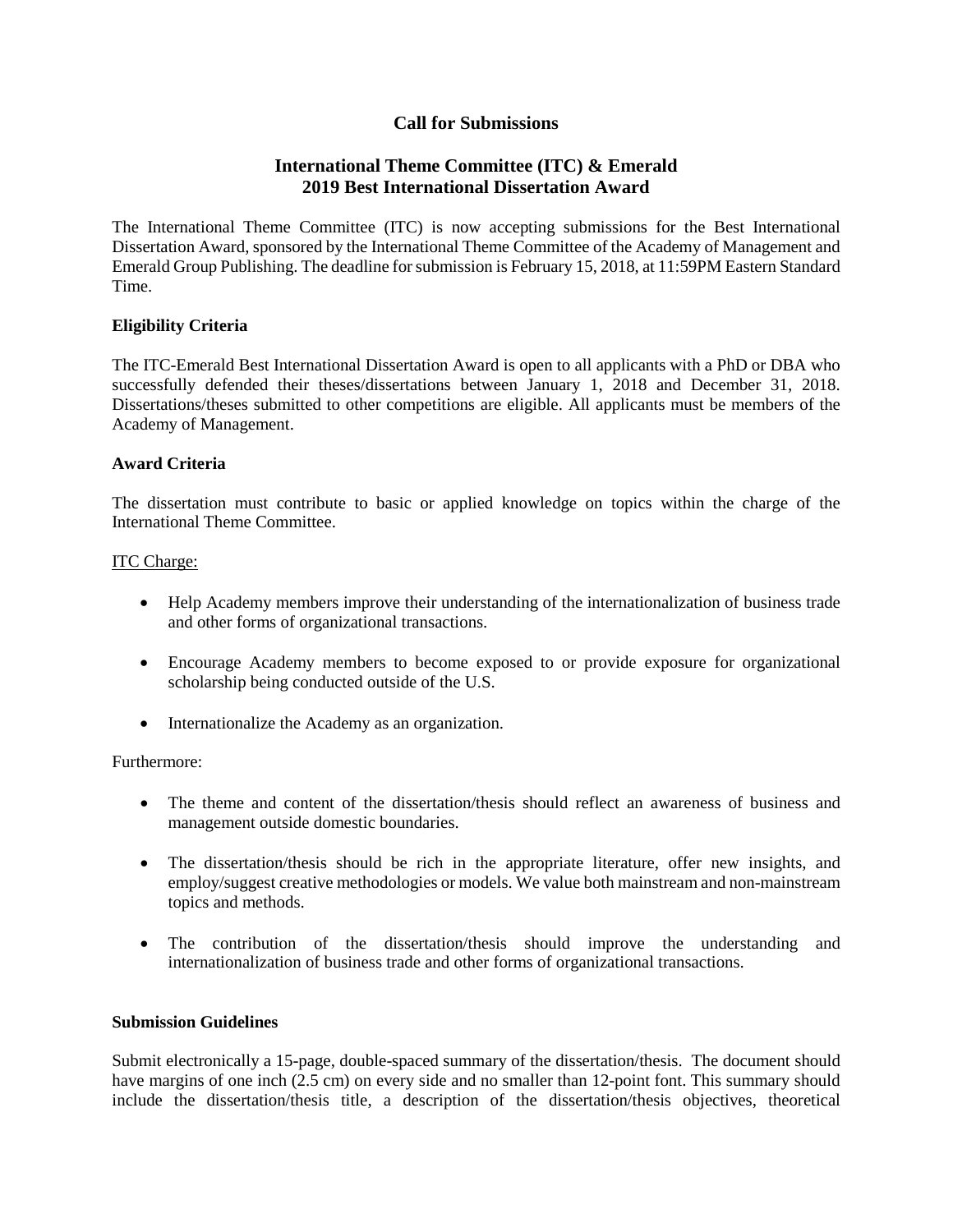# **Call for Submissions**

# **International Theme Committee (ITC) & Emerald 2019 Best International Dissertation Award**

The International Theme Committee (ITC) is now accepting submissions for the Best International Dissertation Award, sponsored by the International Theme Committee of the Academy of Management and Emerald Group Publishing. The deadline for submission is February 15, 2018, at 11:59PM Eastern Standard Time.

## **Eligibility Criteria**

The ITC-Emerald Best International Dissertation Award is open to all applicants with a PhD or DBA who successfully defended their theses/dissertations between January 1, 2018 and December 31, 2018. Dissertations/theses submitted to other competitions are eligible. All applicants must be members of the Academy of Management.

### **Award Criteria**

The dissertation must contribute to basic or applied knowledge on topics within the charge of the International Theme Committee.

#### ITC Charge:

- Help Academy members improve their understanding of the internationalization of business trade and other forms of organizational transactions.
- Encourage Academy members to become exposed to or provide exposure for organizational scholarship being conducted outside of the U.S.
- Internationalize the Academy as an organization.

### Furthermore:

- The theme and content of the dissertation/thesis should reflect an awareness of business and management outside domestic boundaries.
- The dissertation/thesis should be rich in the appropriate literature, offer new insights, and employ/suggest creative methodologies or models. We value both mainstream and non-mainstream topics and methods.
- The contribution of the dissertation/thesis should improve the understanding and internationalization of business trade and other forms of organizational transactions.

#### **Submission Guidelines**

Submit electronically a 15-page, double-spaced summary of the dissertation/thesis. The document should have margins of one inch (2.5 cm) on every side and no smaller than 12-point font. This summary should include the dissertation/thesis title, a description of the dissertation/thesis objectives, theoretical